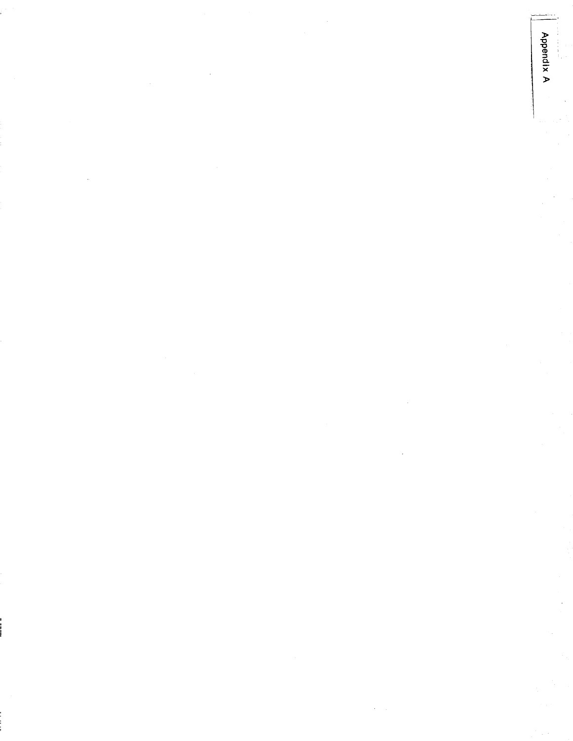Appendix A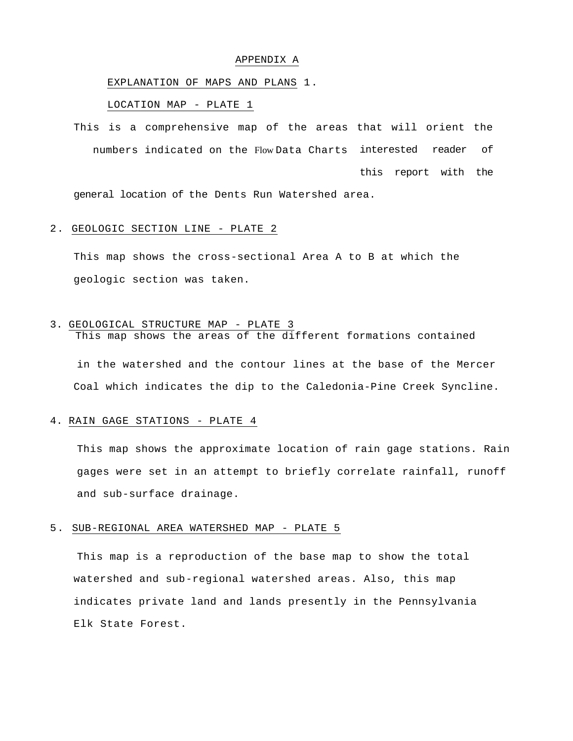### APPENDIX A

## EXPLANATION OF MAPS AND PLANS 1.

## LOCATION MAP - PLATE 1

This is a comprehensive map of the areas that will orient the numbers indicated on the Flow Data Charts interested reader of this report with the

general location of the Dents Run Watershed area.

### 2. GEOLOGIC SECTION LINE - PLATE 2

This map shows the cross-sectional Area A to B at which the geologic section was taken.

## 3. GEOLOGICAL STRUCTURE MAP - PLATE 3

This map shows the areas of the different formations contained in the watershed and the contour lines at the base of the Mercer Coal which indicates the dip to the Caledonia-Pine Creek Syncline.

### 4. RAIN GAGE STATIONS - PLATE 4

This map shows the approximate location of rain gage stations. Rain gages were set in an attempt to briefly correlate rainfall, runoff and sub-surface drainage.

### 5. SUB-REGIONAL AREA WATERSHED MAP - PLATE 5

This map is a reproduction of the base map to show the total watershed and sub-regional watershed areas. Also, this map indicates private land and lands presently in the Pennsylvania Elk State Forest.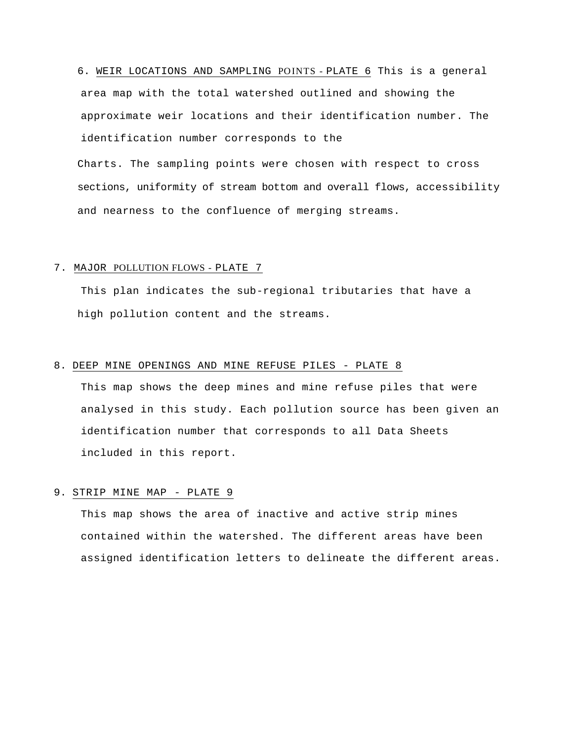6. WEIR LOCATIONS AND SAMPLING PO INTS - PLATE 6 This is a general area map with the total watershed outlined and showing the approximate weir locations and their identification number. The identification number corresponds to the

Charts. The sampling points were chosen with respect to cross sections, uniformity of stream bottom and overall flows, accessibility and nearness to the confluence of merging streams.

## 7. MAJOR POLLUTION FLOWS - PLATE 7

This plan indicates the sub-regional tributaries that have a high pollution content and the streams.

## 8. DEEP MINE OPENINGS AND MINE REFUSE PILES - PLATE 8

This map shows the deep mines and mine refuse piles that were analysed in this study. Each pollution source has been given an identification number that corresponds to all Data Sheets included in this report.

## 9. STRIP MINE MAP - PLATE 9

This map shows the area of inactive and active strip mines contained within the watershed. The different areas have been assigned identification letters to delineate the different areas.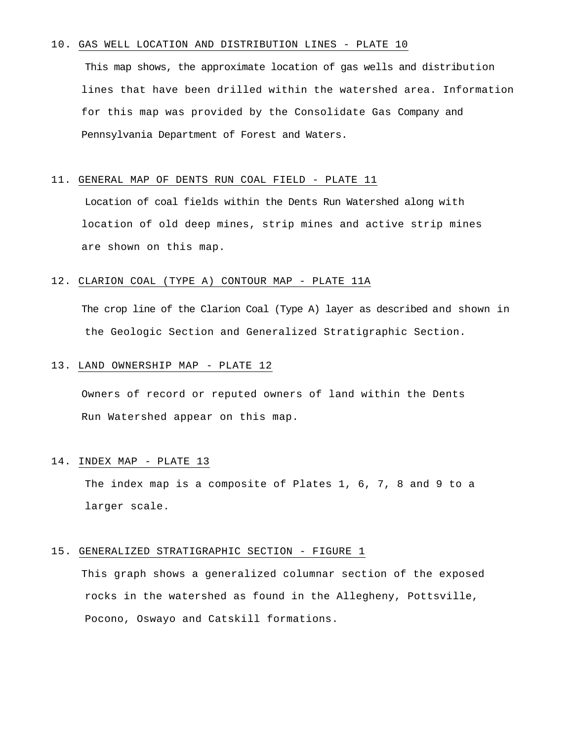### 10. GAS WELL LOCATION AND DISTRIBUTION LINES - PLATE 10

This map shows, the approximate location of gas wells and distribution lines that have been drilled within the watershed area. Information for this map was provided by the Consolidate Gas Company and Pennsylvania Department of Forest and Waters.

## 11. GENERAL MAP OF DENTS RUN COAL FIELD - PLATE 11

Location of coal fields within the Dents Run Watershed along with location of old deep mines, strip mines and active strip mines are shown on this map.

### 12. CLARION COAL (TYPE A) CONTOUR MAP - PLATE 11A

The crop line of the Clarion Coal (Type A) layer as described and shown in the Geologic Section and Generalized Stratigraphic Section.

## 13. LAND OWNERSHIP MAP - PLATE 12

Owners of record or reputed owners of land within the Dents Run Watershed appear on this map.

### 14. INDEX MAP - PLATE 13

The index map is a composite of Plates 1, 6, 7, 8 and 9 to a larger scale.

## 15. GENERALIZED STRATIGRAPHIC SECTION - FIGURE 1

This graph shows a generalized columnar section of the exposed rocks in the watershed as found in the Allegheny, Pottsville, Pocono, Oswayo and Catskill formations.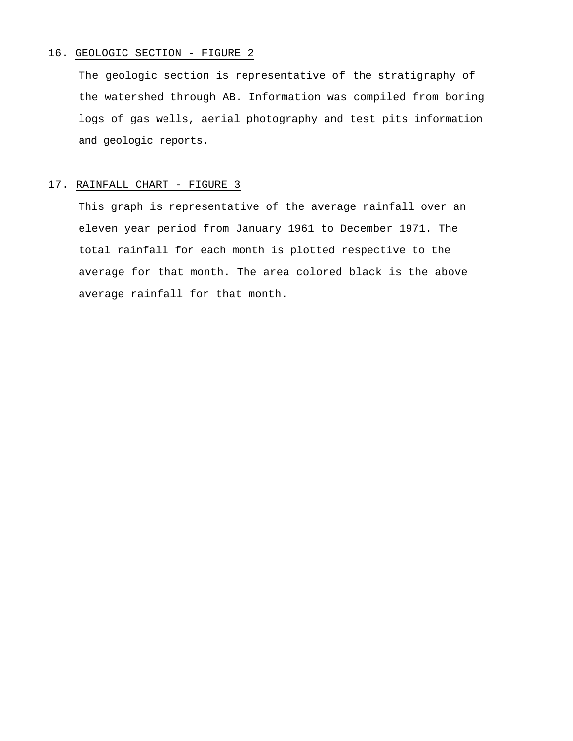## 16. GEOLOGIC SECTION - FIGURE 2

The geologic section is representative of the stratigraphy of the watershed through AB. Information was compiled from boring logs of gas wells, aerial photography and test pits information and geologic reports.

## 17. RAINFALL CHART - FIGURE 3

This graph is representative of the average rainfall over an eleven year period from January 1961 to December 1971. The total rainfall for each month is plotted respective to the average for that month. The area colored black is the above average rainfall for that month.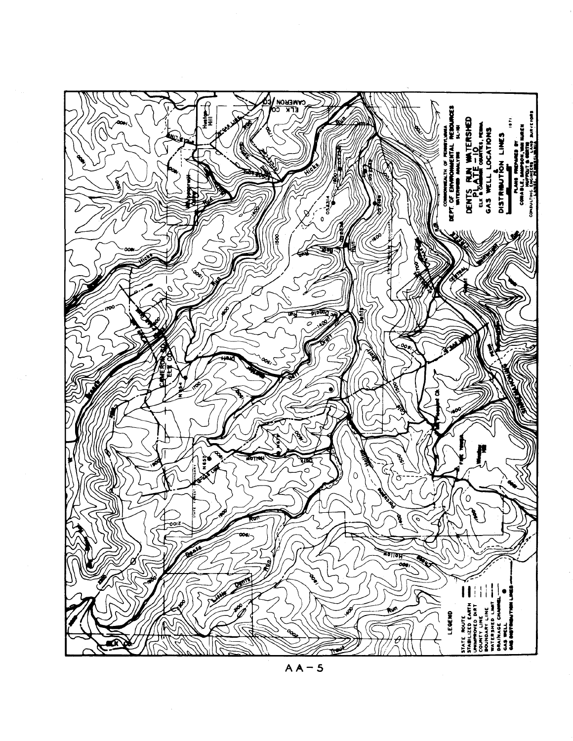

 $AA - 5$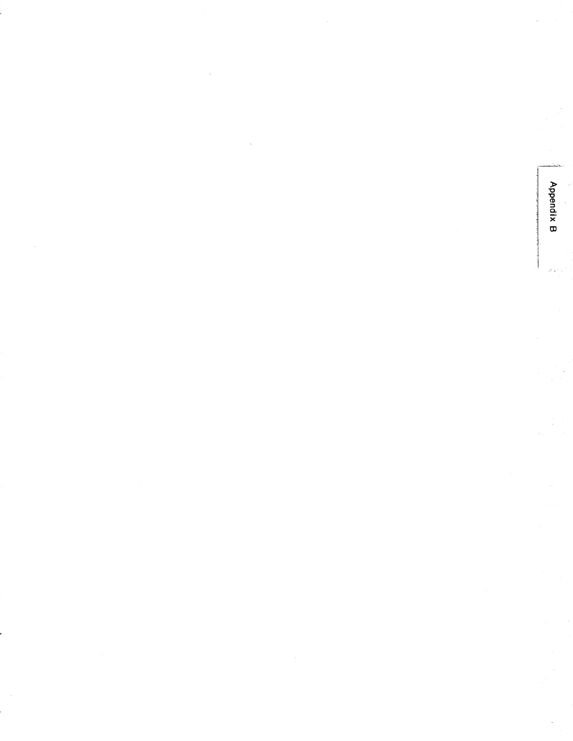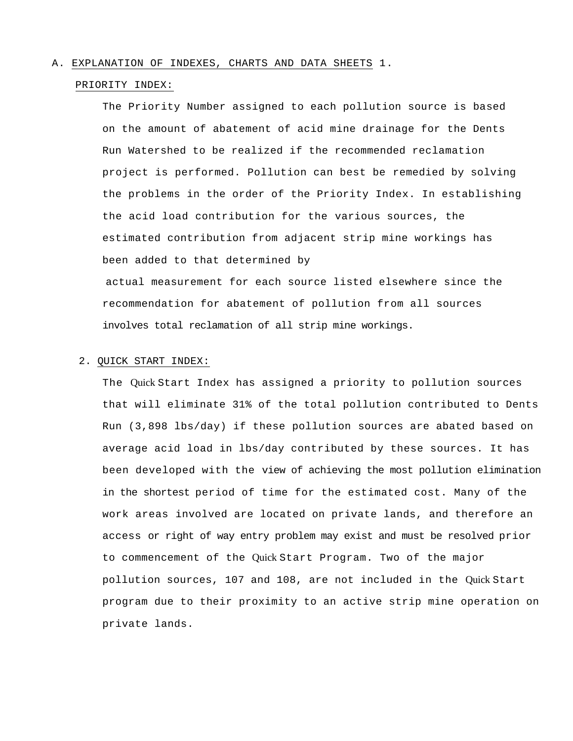### A. EXPLANATION OF INDEXES, CHARTS AND DATA SHEETS 1.

### PRIORITY INDEX:

The Priority Number assigned to each pollution source is based on the amount of abatement of acid mine drainage for the Dents Run Watershed to be realized if the recommended reclamation project is performed. Pollution can best be remedied by solving the problems in the order of the Priority Index. In establishing the acid load contribution for the various sources, the estimated contribution from adjacent strip mine workings has been added to that determined by

actual measurement for each source listed elsewhere since the recommendation for abatement of pollution from all sources involves total reclamation of all strip mine workings.

## 2. QUICK START INDEX:

The Quick Start Index has assigned a priority to pollution sources that will eliminate 31% of the total pollution contributed to Dents Run (3,898 lbs/day) if these pollution sources are abated based on average acid load in lbs/day contributed by these sources. It has been developed with the view of achieving the most pollution elimination in the shortest period of time for the estimated cost. Many of the work areas involved are located on private lands, and therefore an access or right of way entry problem may exist and must be resolved prior to commencement of the Quick Start Program. Two of the major pollution sources, 107 and 108, are not included in the Quick Start program due to their proximity to an active strip mine operation on private lands.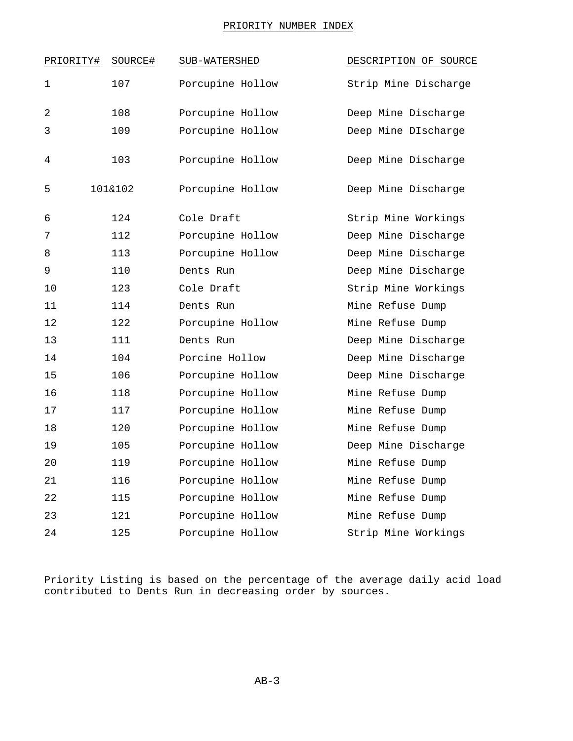## PRIORITY NUMBER INDEX

| PRIORITY#      | SOURCE# | SUB-WATERSHED    | DESCRIPTION OF SOURCE |
|----------------|---------|------------------|-----------------------|
| 1              | 107     | Porcupine Hollow | Strip Mine Discharge  |
| $\overline{2}$ | 108     | Porcupine Hollow | Deep Mine Discharge   |
| 3              | 109     | Porcupine Hollow | Deep Mine DIscharge   |
| 4              | 103     | Porcupine Hollow | Deep Mine Discharge   |
| 5              | 101&102 | Porcupine Hollow | Deep Mine Discharge   |
| 6              | 124     | Cole Draft       | Strip Mine Workings   |
| 7              | 112     | Porcupine Hollow | Deep Mine Discharge   |
| 8              | 113     | Porcupine Hollow | Deep Mine Discharge   |
| 9              | 110     | Dents Run        | Deep Mine Discharge   |
| 10             | 123     | Cole Draft       | Strip Mine Workings   |
| 11             | 114     | Dents Run        | Mine Refuse Dump      |
| 12             | 122     | Porcupine Hollow | Mine Refuse Dump      |
| 13             | 111     | Dents Run        | Deep Mine Discharge   |
| 14             | 104     | Porcine Hollow   | Deep Mine Discharge   |
| 15             | 106     | Porcupine Hollow | Deep Mine Discharge   |
| 16             | 118     | Porcupine Hollow | Mine Refuse Dump      |
| 17             | 117     | Porcupine Hollow | Mine Refuse Dump      |
| 18             | 120     | Porcupine Hollow | Mine Refuse Dump      |
| 19             | 105     | Porcupine Hollow | Deep Mine Discharge   |
| 20             | 119     | Porcupine Hollow | Mine Refuse Dump      |
| 21             | 116     | Porcupine Hollow | Mine Refuse Dump      |
| 22             | 115     | Porcupine Hollow | Mine Refuse Dump      |
| 23             | 121     | Porcupine Hollow | Mine Refuse Dump      |
| 24             | 125     | Porcupine Hollow | Strip Mine Workings   |

Priority Listing is based on the percentage of the average daily acid load contributed to Dents Run in decreasing order by sources.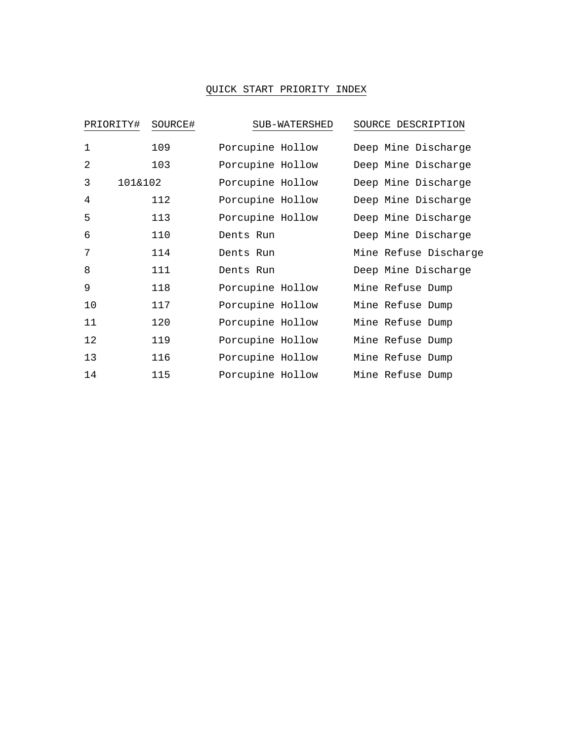## QUICK START PRIORITY INDEX

| PRIORITY#      | SOURCE# | SUB-WATERSHED    | SOURCE DESCRIPTION    |
|----------------|---------|------------------|-----------------------|
| $\mathbf{1}$   | 109     | Porcupine Hollow | Deep Mine Discharge   |
| $\overline{2}$ | 103     | Porcupine Hollow | Deep Mine Discharge   |
| 3<br>101&102   |         | Porcupine Hollow | Deep Mine Discharge   |
| 4              | 112     | Porcupine Hollow | Deep Mine Discharge   |
| 5              | 113     | Porcupine Hollow | Deep Mine Discharge   |
| 6              | 110     | Dents Run        | Deep Mine Discharge   |
| 7              | 114     | Dents Run        | Mine Refuse Discharge |
| 8              | 111     | Dents Run        | Deep Mine Discharge   |
| 9              | 118     | Porcupine Hollow | Mine Refuse Dump      |
| 10             | 117     | Porcupine Hollow | Mine Refuse Dump      |
| 11             | 120     | Porcupine Hollow | Mine Refuse Dump      |
| 12             | 119     | Porcupine Hollow | Mine Refuse Dump      |
| 13             | 116     | Porcupine Hollow | Mine Refuse Dump      |
| 14             | 115     | Porcupine Hollow | Mine Refuse Dump      |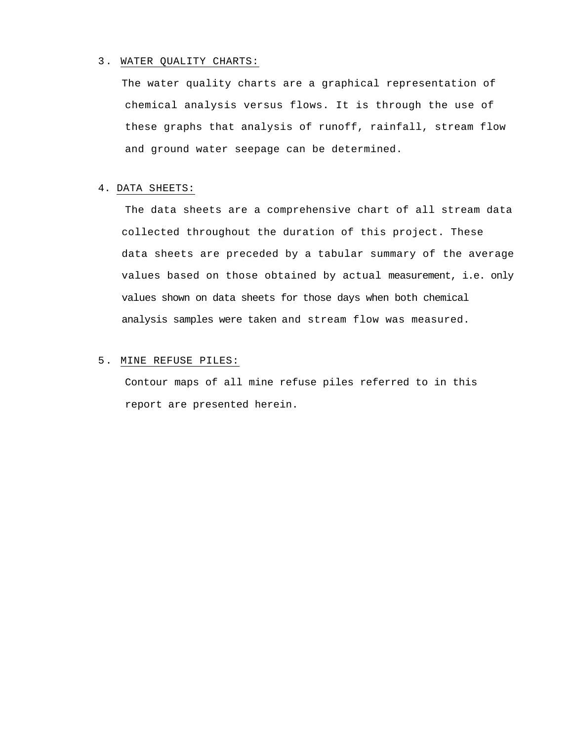## 3. WATER QUALITY CHARTS:

The water quality charts are a graphical representation of chemical analysis versus flows. It is through the use of these graphs that analysis of runoff, rainfall, stream flow and ground water seepage can be determined.

## 4. DATA SHEETS:

The data sheets are a comprehensive chart of all stream data collected throughout the duration of this project. These data sheets are preceded by a tabular summary of the average values based on those obtained by actual measurement, i.e. only values shown on data sheets for those days when both chemical analysis samples were taken and stream flow was measured.

## 5. MINE REFUSE PILES:

Contour maps of all mine refuse piles referred to in this report are presented herein.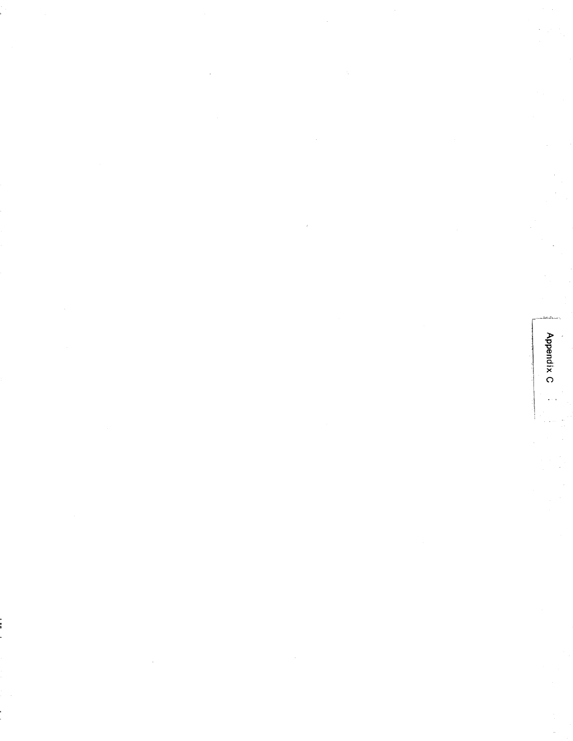Appendix C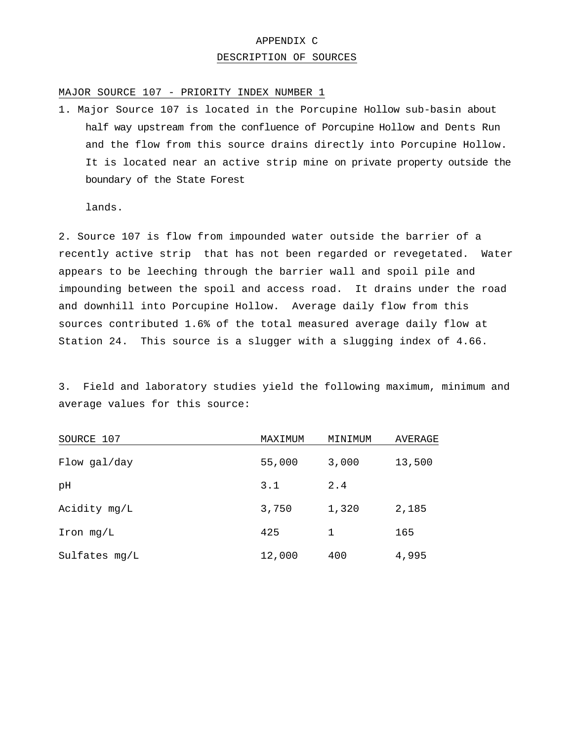# APPENDIX C DESCRIPTION OF SOURCES

## MAJOR SOURCE 107 - PRIORITY INDEX NUMBER 1

1. Major Source 107 is located in the Porcupine Hollow sub-basin about half way upstream from the confluence of Porcupine Hollow and Dents Run and the flow from this source drains directly into Porcupine Hollow. It is located near an active strip mine on private property outside the boundary of the State Forest

lands.

2. Source 107 is flow from impounded water outside the barrier of a recently active strip that has not been regarded or revegetated. Water appears to be leeching through the barrier wall and spoil pile and impounding between the spoil and access road. It drains under the road and downhill into Porcupine Hollow. Average daily flow from this sources contributed 1.6% of the total measured average daily flow at Station 24. This source is a slugger with a slugging index of 4.66.

3. Field and laboratory studies yield the following maximum, minimum and average values for this source:

| SOURCE 107    | MAXIMUM | MINIMUM | AVERAGE |
|---------------|---------|---------|---------|
| Flow gal/day  | 55,000  | 3,000   | 13,500  |
| рH            | 3.1     | 2.4     |         |
| Acidity mg/L  | 3,750   | 1,320   | 2,185   |
| Iron mg/L     | 425     | 1       | 165     |
| Sulfates mg/L | 12,000  | 400     | 4,995   |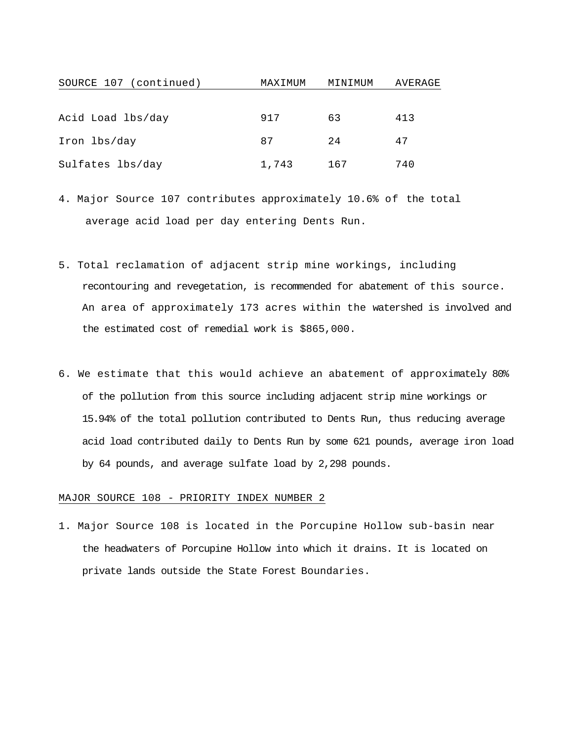| SOURCE 107 (continued) | MAXIMUM | MINIMUM | AVERAGE |
|------------------------|---------|---------|---------|
|                        |         |         |         |
| Acid Load lbs/day      | 917     | 63      | 413     |
| Iron lbs/day           | 87      | 2.4     | 47      |
| Sulfates lbs/day       | 1,743   | 167     | 740     |

- 4. Major Source 107 contributes approximately 10.6% of the total average acid load per day entering Dents Run.
- 5. Total reclamation of adjacent strip mine workings, including recontouring and revegetation, is recommended for abatement of this source. An area of approximately 173 acres within the watershed is involved and the estimated cost of remedial work is \$865,000.
- 6. We estimate that this would achieve an abatement of approximately 80% of the pollution from this source including adjacent strip mine workings or 15.94% of the total pollution contributed to Dents Run, thus reducing average acid load contributed daily to Dents Run by some 621 pounds, average iron load by 64 pounds, and average sulfate load by 2,298 pounds.

## MAJOR SOURCE 108 - PRIORITY INDEX NUMBER 2

1. Major Source 108 is located in the Porcupine Hollow sub-basin near the headwaters of Porcupine Hollow into which it drains. It is located on private lands outside the State Forest Boundaries.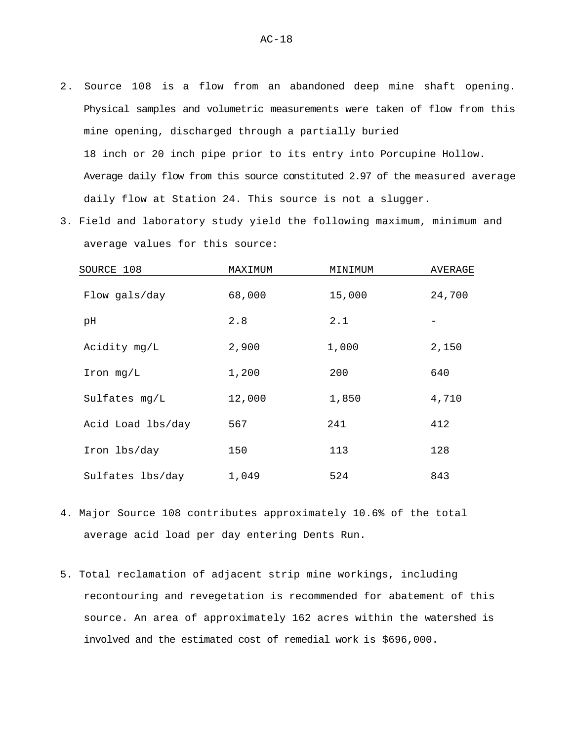- 2. Source 108 is a flow from an abandoned deep mine shaft opening. Physical samples and volumetric measurements were taken of flow from this mine opening, discharged through a partially buried 18 inch or 20 inch pipe prior to its entry into Porcupine Hollow. Average daily flow from this source constituted 2.97 of the measured average daily flow at Station 24. This source is not a slugger.
- 3. Field and laboratory study yield the following maximum, minimum and average values for this source:

| SOURCE 108        | MAXIMUM | MINIMUM | AVERAGE |
|-------------------|---------|---------|---------|
| Flow gals/day     | 68,000  | 15,000  | 24,700  |
| рH                | 2.8     | 2.1     |         |
| Acidity mg/L      | 2,900   | 1,000   | 2,150   |
| Iron mg/L         | 1,200   | 200     | 640     |
| Sulfates mg/L     | 12,000  | 1,850   | 4,710   |
| Acid Load lbs/day | 567     | 241     | 412     |
| Iron lbs/day      | 150     | 113     | 128     |
| Sulfates lbs/day  | 1,049   | 524     | 843     |

- 4. Major Source 108 contributes approximately 10.6% of the total average acid load per day entering Dents Run.
- 5. Total reclamation of adjacent strip mine workings, including recontouring and revegetation is recommended for abatement of this source. An area of approximately 162 acres within the watershed is involved and the estimated cost of remedial work is \$696,000.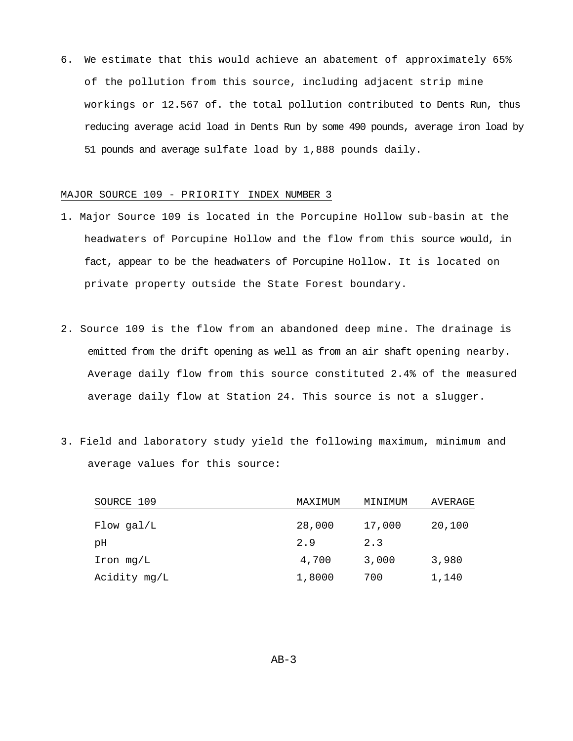6. We estimate that this would achieve an abatement of approximately 65% of the pollution from this source, including adjacent strip mine workings or 12.567 of. the total pollution contributed to Dents Run, thus reducing average acid load in Dents Run by some 490 pounds, average iron load by 51 pounds and average sulfate load by 1,888 pounds daily.

## MAJOR SOURCE 109 - PRIORITY INDEX NUMBER 3

- 1. Major Source 109 is located in the Porcupine Hollow sub-basin at the headwaters of Porcupine Hollow and the flow from this source would, in fact, appear to be the headwaters of Porcupine Hollow. It is located on private property outside the State Forest boundary.
- 2. Source 109 is the flow from an abandoned deep mine. The drainage is emitted from the drift opening as well as from an air shaft opening nearby. Average daily flow from this source constituted 2.4% of the measured average daily flow at Station 24. This source is not a slugger.
- 3. Field and laboratory study yield the following maximum, minimum and average values for this source:

| SOURCE 109   | MAXIMUM | MINIMUM | AVERAGE |
|--------------|---------|---------|---------|
| $Flow$ gal/L | 28,000  | 17,000  | 20,100  |
| pН           | 2.9     | 2.3     |         |
| Iron $mg/L$  | 4,700   | 3,000   | 3,980   |
| Acidity mg/L | 1,8000  | 700     | 1,140   |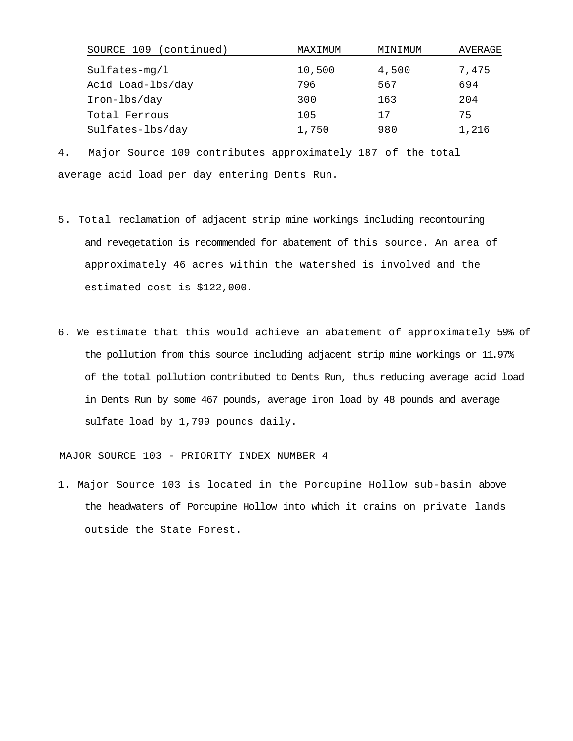| (continued)<br>SOURCE 109 | MAXIMUM | MINIMUM | AVERAGE |
|---------------------------|---------|---------|---------|
| $Sulfates-mg/l$           | 10,500  | 4,500   | 7,475   |
| Acid Load-lbs/day         | 796     | 567     | 694     |
| Iron-lbs/day              | 300     | 163     | 204     |
| Total Ferrous             | 105     | 17      | 75      |
| Sulfates-lbs/day          | 1,750   | 980     | 1,216   |

4. Major Source 109 contributes approximately 187 of the total average acid load per day entering Dents Run.

- 5. Total reclamation of adjacent strip mine workings including recontouring and revegetation is recommended for abatement of this source. An area of approximately 46 acres within the watershed is involved and the estimated cost is \$122,000.
- 6. We estimate that this would achieve an abatement of approximately 59% of the pollution from this source including adjacent strip mine workings or 11.97% of the total pollution contributed to Dents Run, thus reducing average acid load in Dents Run by some 467 pounds, average iron load by 48 pounds and average sulfate load by 1,799 pounds daily.

### MAJOR SOURCE 103 - PRIORITY INDEX NUMBER 4

1. Major Source 103 is located in the Porcupine Hollow sub-basin above the headwaters of Porcupine Hollow into which it drains on private lands outside the State Forest.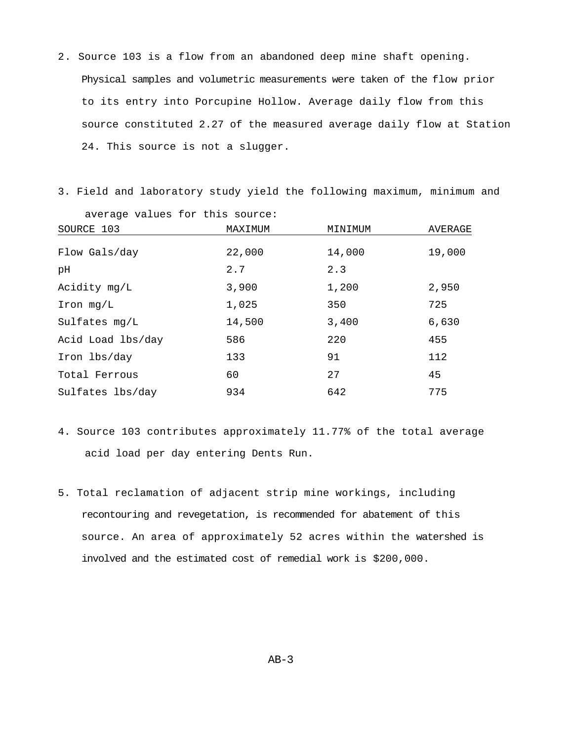2. Source 103 is a flow from an abandoned deep mine shaft opening. Physical samples and volumetric measurements were taken of the flow prior to its entry into Porcupine Hollow. Average daily flow from this source constituted 2.27 of the measured average daily flow at Station 24. This source is not a slugger.

3. Field and laboratory study yield the following maximum, minimum and

| average values for this source: |         |         |         |
|---------------------------------|---------|---------|---------|
| SOURCE 103                      | MAXIMUM | MINIMUM | AVERAGE |
| Flow Gals/day                   | 22,000  | 14,000  | 19,000  |
| рH                              | 2.7     | 2.3     |         |
| Acidity mg/L                    | 3,900   | 1,200   | 2,950   |
| Iron mg/L                       | 1,025   | 350     | 725     |
| Sulfates mg/L                   | 14,500  | 3,400   | 6,630   |
| Acid Load lbs/day               | 586     | 220     | 455     |
| Iron lbs/day                    | 133     | 91      | 112     |
| Total Ferrous                   | 60      | 27      | 45      |
| Sulfates lbs/day                | 934     | 642     | 775     |

- 4. Source 103 contributes approximately 11.77% of the total average acid load per day entering Dents Run.
- 5. Total reclamation of adjacent strip mine workings, including recontouring and revegetation, is recommended for abatement of this source. An area of approximately 52 acres within the watershed is involved and the estimated cost of remedial work is \$200,000.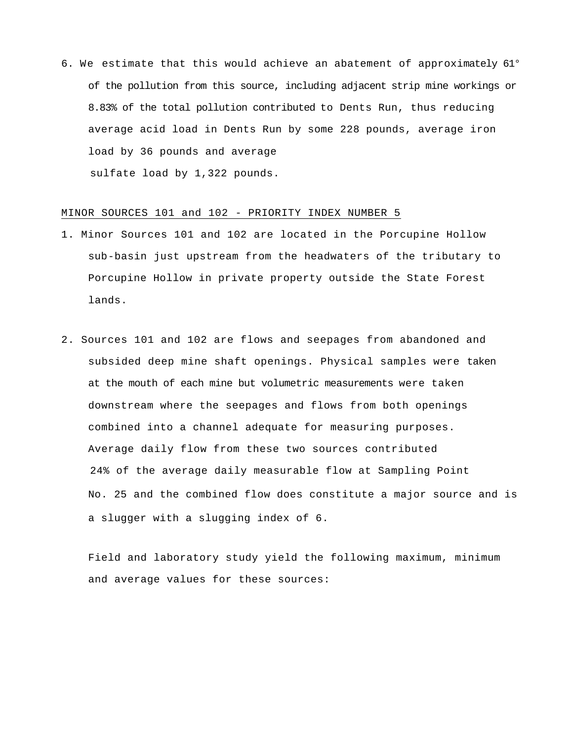6. We estimate that this would achieve an abatement of approximately 61° of the pollution from this source, including adjacent strip mine workings or 8.83% of the total pollution contributed to Dents Run, thus reducing average acid load in Dents Run by some 228 pounds, average iron load by 36 pounds and average sulfate load by 1,322 pounds.

### MINOR SOURCES 101 and 102 - PRIORITY INDEX NUMBER 5

- 1. Minor Sources 101 and 102 are located in the Porcupine Hollow sub-basin just upstream from the headwaters of the tributary to Porcupine Hollow in private property outside the State Forest lands.
- 2. Sources 101 and 102 are flows and seepages from abandoned and subsided deep mine shaft openings. Physical samples were taken at the mouth of each mine but volumetric measurements were taken downstream where the seepages and flows from both openings combined into a channel adequate for measuring purposes. Average daily flow from these two sources contributed 24% of the average daily measurable flow at Sampling Point No. 25 and the combined flow does constitute a major source and is a slugger with a slugging index of 6.

Field and laboratory study yield the following maximum, minimum and average values for these sources: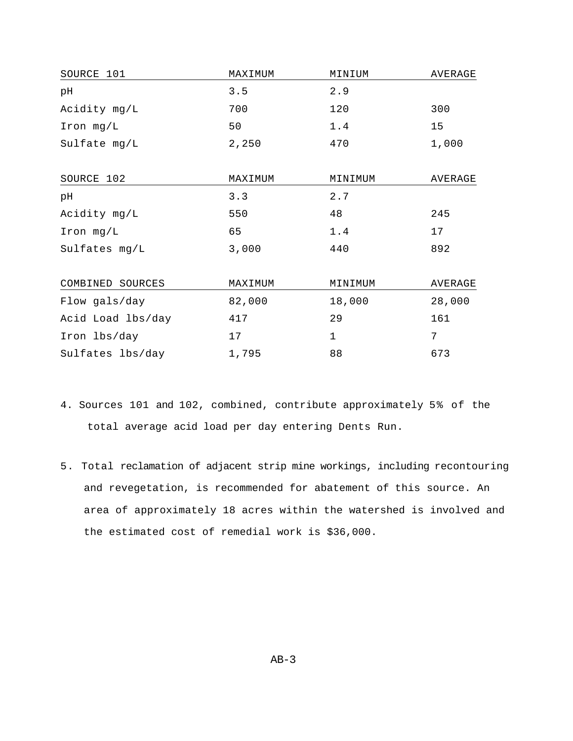| SOURCE 101        | MAXIMUM | MINIUM      | AVERAGE |
|-------------------|---------|-------------|---------|
| рH                | 3.5     | 2.9         |         |
| Acidity mg/L      | 700     | 120         | 300     |
| Iron mg/L         | 50      | 1.4         | 15      |
| Sulfate mg/L      | 2,250   | 470         | 1,000   |
| SOURCE 102        | MAXIMUM | MINIMUM     | AVERAGE |
| pН                | 3.3     | 2.7         |         |
| Acidity mg/L      | 550     | 48          | 245     |
| Iron mg/L         | 65      | 1.4         | 17      |
| Sulfates mg/L     | 3,000   | 440         | 892     |
| COMBINED SOURCES  | MAXIMUM | MINIMUM     | AVERAGE |
| Flow gals/day     | 82,000  | 18,000      | 28,000  |
| Acid Load lbs/day | 417     | 29          | 161     |
| Iron lbs/day      | 17      | $\mathbf 1$ | 7       |
| Sulfates lbs/day  | 1,795   | 88          | 673     |

- 4. Sources 101 and 102, combined, contribute approximately 5% of the total average acid load per day entering Dents Run.
- 5. Total reclamation of adjacent strip mine workings, including recontouring and revegetation, is recommended for abatement of this source. An area of approximately 18 acres within the watershed is involved and the estimated cost of remedial work is \$36,000.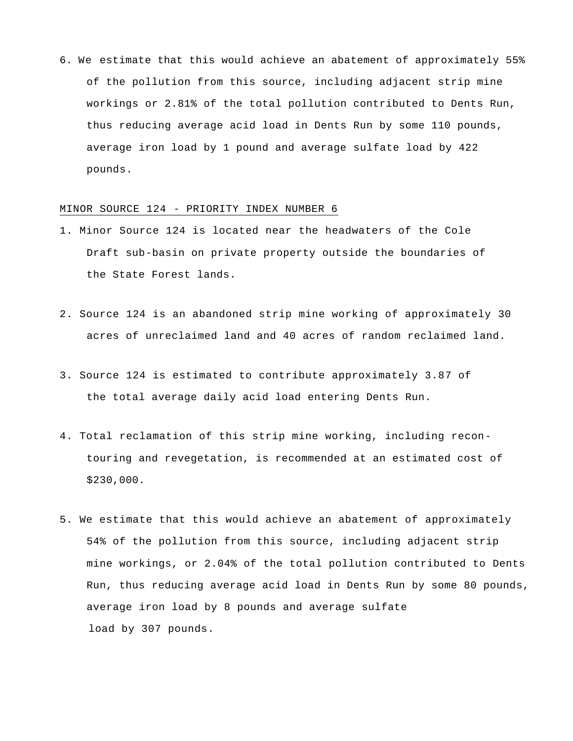6. We estimate that this would achieve an abatement of approximately 55% of the pollution from this source, including adjacent strip mine workings or 2.81% of the total pollution contributed to Dents Run, thus reducing average acid load in Dents Run by some 110 pounds, average iron load by 1 pound and average sulfate load by 422 pounds.

### MINOR SOURCE 124 - PRIORITY INDEX NUMBER 6

- 1. Minor Source 124 is located near the headwaters of the Cole Draft sub-basin on private property outside the boundaries of the State Forest lands.
- 2. Source 124 is an abandoned strip mine working of approximately 30 acres of unreclaimed land and 40 acres of random reclaimed land.
- 3. Source 124 is estimated to contribute approximately 3.87 of the total average daily acid load entering Dents Run.
- 4. Total reclamation of this strip mine working, including recontouring and revegetation, is recommended at an estimated cost of \$230,000.
- 5. We estimate that this would achieve an abatement of approximately 54% of the pollution from this source, including adjacent strip mine workings, or 2.04% of the total pollution contributed to Dents Run, thus reducing average acid load in Dents Run by some 80 pounds, average iron load by 8 pounds and average sulfate load by 307 pounds.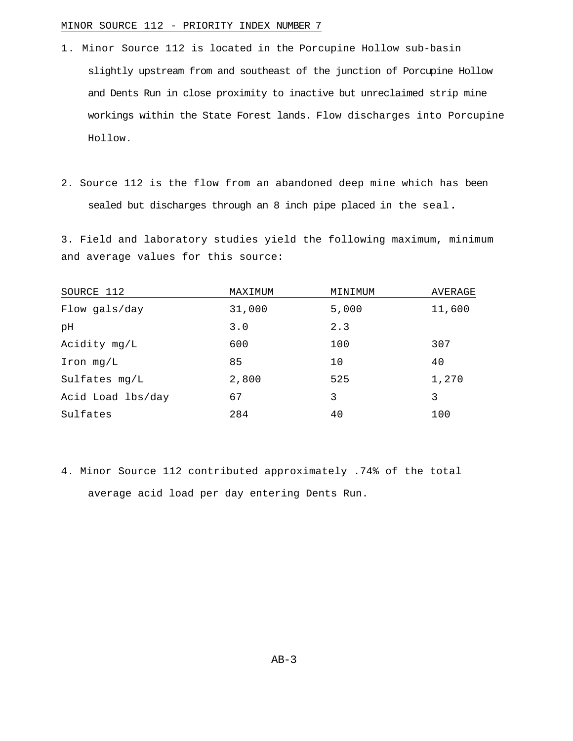## MINOR SOURCE 112 - PRIORITY INDEX NUMBER 7

- 1. Minor Source 112 is located in the Porcupine Hollow sub-basin slightly upstream from and southeast of the junction of Porcupine Hollow and Dents Run in close proximity to inactive but unreclaimed strip mine workings within the State Forest lands. Flow discharges into Porcupine Hollow.
- 2. Source 112 is the flow from an abandoned deep mine which has been sealed but discharges through an 8 inch pipe placed in the seal**.**

3. Field and laboratory studies yield the following maximum, minimum and average values for this source:

| SOURCE 112        | MAXIMUM | MINIMUM | AVERAGE |
|-------------------|---------|---------|---------|
| Flow gals/day     | 31,000  | 5,000   | 11,600  |
| pH                | 3.0     | 2.3     |         |
| Acidity mg/L      | 600     | 100     | 307     |
| $Iron$ mg/ $L$    | 85      | 10      | 40      |
| Sulfates mg/L     | 2,800   | 525     | 1,270   |
| Acid Load lbs/day | 67      | 3       | 3       |
| Sulfates          | 284     | 40      | 100     |

4. Minor Source 112 contributed approximately .74% of the total average acid load per day entering Dents Run.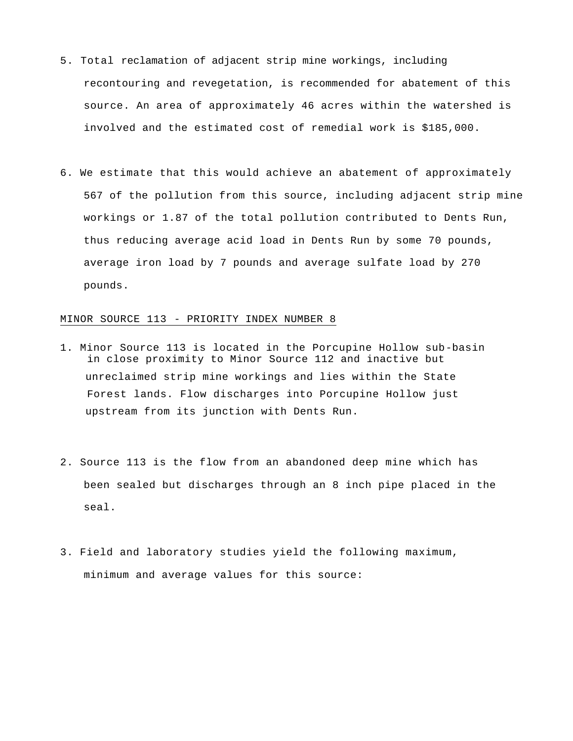- 5. Total reclamation of adjacent strip mine workings, including recontouring and revegetation, is recommended for abatement of this source. An area of approximately 46 acres within the watershed is involved and the estimated cost of remedial work is \$185,000.
- 6. We estimate that this would achieve an abatement of approximately 567 of the pollution from this source, including adjacent strip mine workings or 1.87 of the total pollution contributed to Dents Run, thus reducing average acid load in Dents Run by some 70 pounds, average iron load by 7 pounds and average sulfate load by 270 pounds.

## MINOR SOURCE 113 - PRIORITY INDEX NUMBER 8

- 1. Minor Source 113 is located in the Porcupine Hollow sub-basin in close proximity to Minor Source 112 and inactive but unreclaimed strip mine workings and lies within the State Forest lands. Flow discharges into Porcupine Hollow just upstream from its junction with Dents Run.
- 2. Source 113 is the flow from an abandoned deep mine which has been sealed but discharges through an 8 inch pipe placed in the seal.
- 3. Field and laboratory studies yield the following maximum, minimum and average values for this source: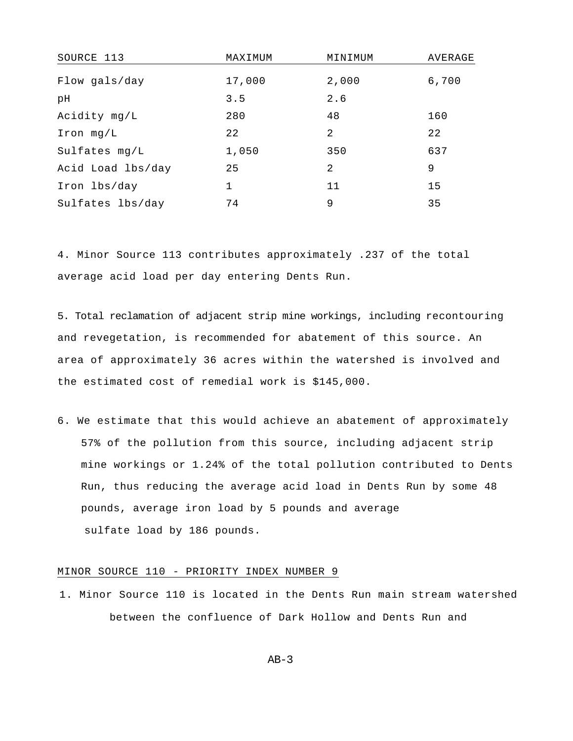| SOURCE 113        | MAXIMUM      | MINIMUM       | AVERAGE |
|-------------------|--------------|---------------|---------|
| Flow gals/day     | 17,000       | 2,000         | 6,700   |
| pH                | 3.5          | 2.6           |         |
| Acidity mg/L      | 280          | 48            | 160     |
| $Iron$ mg/L       | 22           | $\mathcal{L}$ | 22      |
| Sulfates mg/L     | 1,050        | 350           | 637     |
| Acid Load lbs/day | 25           | 2             | 9       |
| Iron lbs/day      | $\mathbf{1}$ | 11            | 15      |
| Sulfates lbs/day  | 74           | 9             | 35      |

4. Minor Source 113 contributes approximately .237 of the total average acid load per day entering Dents Run.

5. Total reclamation of adjacent strip mine workings, including recontouring and revegetation, is recommended for abatement of this source. An area of approximately 36 acres within the watershed is involved and the estimated cost of remedial work is \$145,000.

6. We estimate that this would achieve an abatement of approximately 57% of the pollution from this source, including adjacent strip mine workings or 1.24% of the total pollution contributed to Dents Run, thus reducing the average acid load in Dents Run by some 48 pounds, average iron load by 5 pounds and average sulfate load by 186 pounds.

## MINOR SOURCE 110 - PRIORITY INDEX NUMBER 9

1. Minor Source 110 is located in the Dents Run main stream watershed between the confluence of Dark Hollow and Dents Run and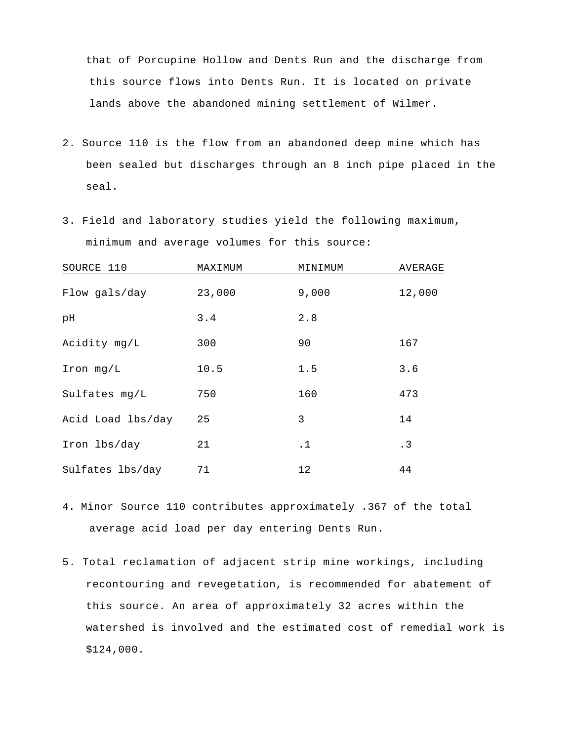that of Porcupine Hollow and Dents Run and the discharge from this source flows into Dents Run. It is located on private lands above the abandoned mining settlement of Wilmer.

- 2. Source 110 is the flow from an abandoned deep mine which has been sealed but discharges through an 8 inch pipe placed in the seal.
- 3. Field and laboratory studies yield the following maximum, minimum and average volumes for this source:

| SOURCE 110        | MAXIMUM | MINIMUM   | AVERAGE |
|-------------------|---------|-----------|---------|
| Flow gals/day     | 23,000  | 9,000     | 12,000  |
| рH                | 3.4     | 2.8       |         |
| Acidity mg/L      | 300     | 90        | 167     |
| $Iron$ mg/ $L$    | 10.5    | 1.5       | 3.6     |
| Sulfates mg/L     | 750     | 160       | 473     |
| Acid Load lbs/day | 25      | 3         | 14      |
| Iron lbs/day      | 21      | $\cdot$ 1 | .3      |
| Sulfates lbs/day  | 71      | 12        | 44      |

- 4. Minor Source 110 contributes approximately .367 of the total average acid load per day entering Dents Run.
- 5. Total reclamation of adjacent strip mine workings, including recontouring and revegetation, is recommended for abatement of this source. An area of approximately 32 acres within the watershed is involved and the estimated cost of remedial work is \$124,000.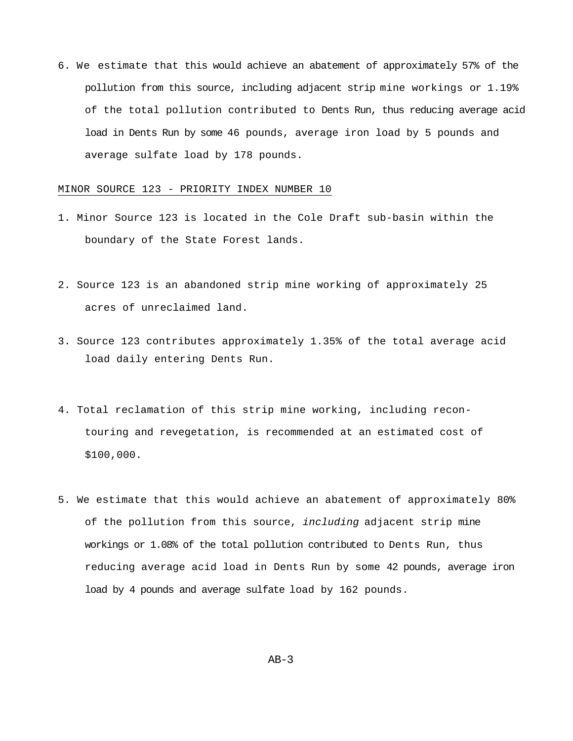6. We estimate that this would achieve an abatement of approximately 57% of the pollution from this source, including adjacent strip mine workings or 1.19% of the total pollution contributed to Dents Run, thus reducing average acid load in Dents Run by some 46 pounds, average iron load by 5 pounds and average sulfate load by 178 pounds.

#### MINOR SOURCE 123 - PRIORITY INDEX NUMBER 10

- 1. Minor Source 123 is located in the Cole Draft sub-basin within the boundary of the State Forest lands.
- 2. Source 123 is an abandoned strip mine working of approximately 25 acres of unreclaimed land.
- 3. Source 123 contributes approximately 1.35% of the total average acid load daily entering Dents Run.
- 4. Total reclamation of this strip mine working, including recontouring and revegetation, is recommended at an estimated cost of \$100,000.
- 5. We estimate that this would achieve an abatement of approximately 80% of the pollution from this source, *including* adjacent strip mine workings or 1.08% of the total pollution contributed to Dents Run, thus reducing average acid load in Dents Run by some 42 pounds, average iron load by 4 pounds and average sulfate load by 162 pounds.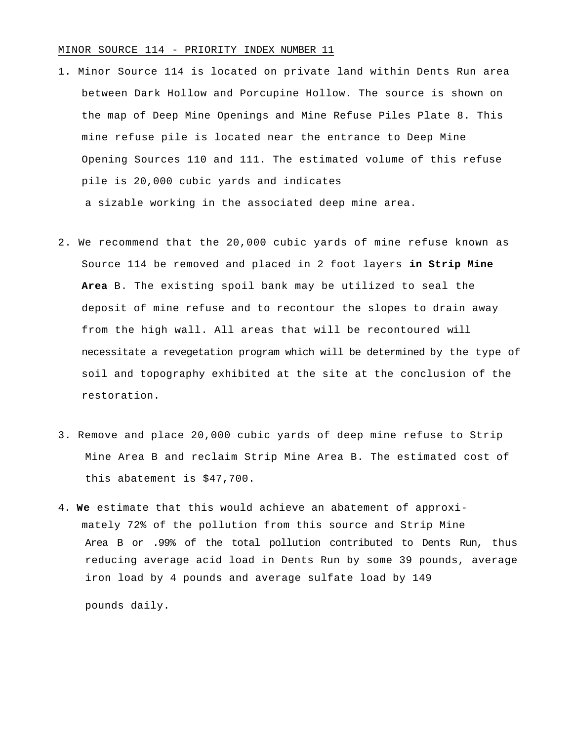#### MINOR SOURCE 114 - PRIORITY INDEX NUMBER 11

- 1. Minor Source 114 is located on private land within Dents Run area between Dark Hollow and Porcupine Hollow. The source is shown on the map of Deep Mine Openings and Mine Refuse Piles Plate 8. This mine refuse pile is located near the entrance to Deep Mine Opening Sources 110 and 111. The estimated volume of this refuse pile is 20,000 cubic yards and indicates a sizable working in the associated deep mine area.
- 2. We recommend that the 20,000 cubic yards of mine refuse known as Source 114 be removed and placed in 2 foot layers **in Strip Mine Area** B. The existing spoil bank may be utilized to seal the deposit of mine refuse and to recontour the slopes to drain away from the high wall. All areas that will be recontoured will necessitate a revegetation program which will be determined by the type of soil and topography exhibited at the site at the conclusion of the restoration.
- 3. Remove and place 20,000 cubic yards of deep mine refuse to Strip Mine Area B and reclaim Strip Mine Area B. The estimated cost of this abatement is \$47,700.
- 4. **We** estimate that this would achieve an abatement of approximately 72% of the pollution from this source and Strip Mine Area B or .99% of the total pollution contributed to Dents Run, thus reducing average acid load in Dents Run by some 39 pounds, average iron load by 4 pounds and average sulfate load by 149

pounds daily.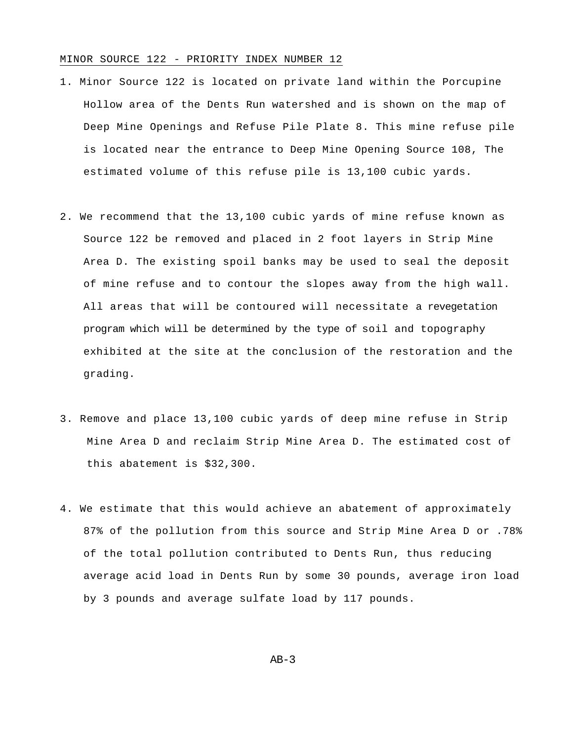### MINOR SOURCE 122 - PRIORITY INDEX NUMBER 12

- 1. Minor Source 122 is located on private land within the Porcupine Hollow area of the Dents Run watershed and is shown on the map of Deep Mine Openings and Refuse Pile Plate 8. This mine refuse pile is located near the entrance to Deep Mine Opening Source 108, The estimated volume of this refuse pile is 13,100 cubic yards.
- 2. We recommend that the 13,100 cubic yards of mine refuse known as Source 122 be removed and placed in 2 foot layers in Strip Mine Area D. The existing spoil banks may be used to seal the deposit of mine refuse and to contour the slopes away from the high wall. All areas that will be contoured will necessitate a revegetation program which will be determined by the type of soil and topography exhibited at the site at the conclusion of the restoration and the grading.
- 3. Remove and place 13,100 cubic yards of deep mine refuse in Strip Mine Area D and reclaim Strip Mine Area D. The estimated cost of this abatement is \$32,300.
- 4. We estimate that this would achieve an abatement of approximately 87% of the pollution from this source and Strip Mine Area D or .78% of the total pollution contributed to Dents Run, thus reducing average acid load in Dents Run by some 30 pounds, average iron load by 3 pounds and average sulfate load by 117 pounds.

 $AB-3$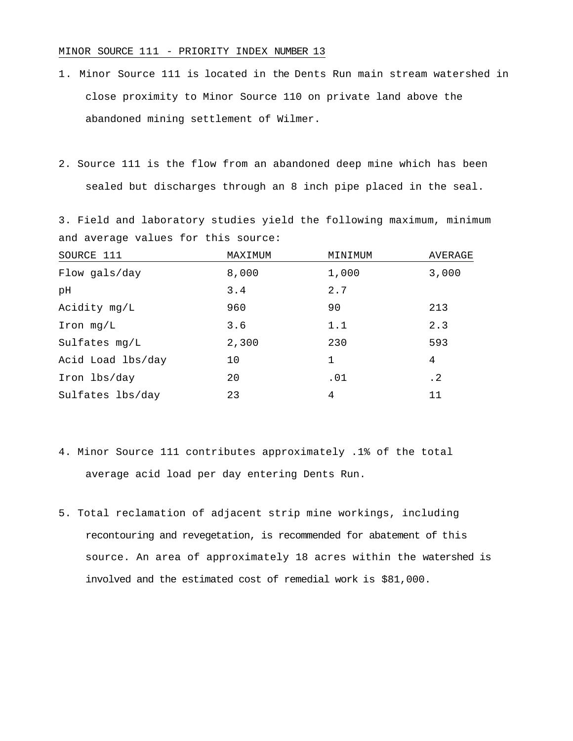### MINOR SOURCE 111 - PRIORITY INDEX NUMBER 13

- 1. Minor Source 111 is located in the Dents Run main stream watershed in close proximity to Minor Source 110 on private land above the abandoned mining settlement of Wilmer.
- 2. Source 111 is the flow from an abandoned deep mine which has been sealed but discharges through an 8 inch pipe placed in the seal.

3. Field and laboratory studies yield the following maximum, minimum and average values for this source:

| SOURCE 111        | MAXIMUM | MINIMUM      | AVERAGE |
|-------------------|---------|--------------|---------|
| Flow gals/day     | 8,000   | 1,000        | 3,000   |
| pH                | 3.4     | 2.7          |         |
| Acidity mg/L      | 960     | 90           | 213     |
| $Iron$ mg/ $L$    | 3.6     | 1.1          | 2.3     |
| Sulfates mg/L     | 2,300   | 230          | 593     |
| Acid Load lbs/day | 10      | $\mathbf{1}$ | 4       |
| Iron lbs/day      | 20      | .01          | . 2     |
| Sulfates lbs/day  | 23      | 4            | 11      |

- 4. Minor Source 111 contributes approximately .1% of the total average acid load per day entering Dents Run.
- 5. Total reclamation of adjacent strip mine workings, including recontouring and revegetation, is recommended for abatement of this source. An area of approximately 18 acres within the watershed is involved and the estimated cost of remedial work is \$81,000.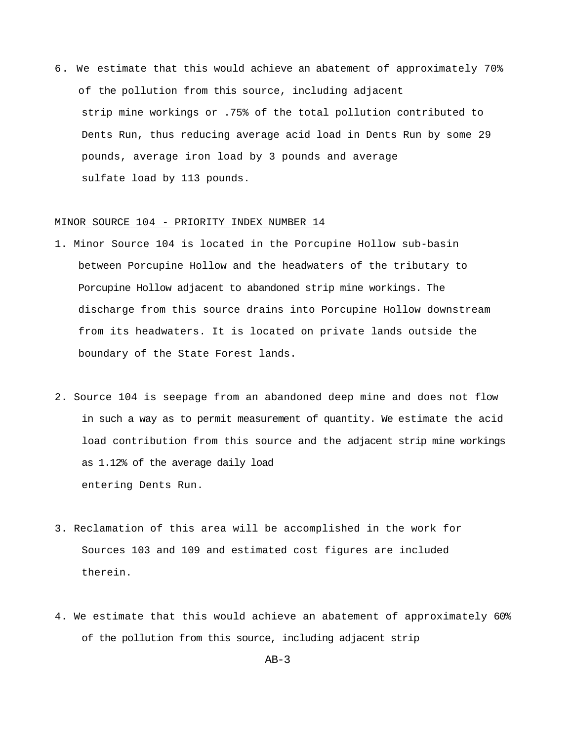6. We estimate that this would achieve an abatement of approximately 70% of the pollution from this source, including adjacent strip mine workings or .75% of the total pollution contributed to Dents Run, thus reducing average acid load in Dents Run by some 29 pounds, average iron load by 3 pounds and average sulfate load by 113 pounds.

### MINOR SOURCE 104 - PRIORITY INDEX NUMBER 14

- 1. Minor Source 104 is located in the Porcupine Hollow sub-basin between Porcupine Hollow and the headwaters of the tributary to Porcupine Hollow adjacent to abandoned strip mine workings. The discharge from this source drains into Porcupine Hollow downstream from its headwaters. It is located on private lands outside the boundary of the State Forest lands.
- 2. Source 104 is seepage from an abandoned deep mine and does not flow in such a way as to permit measurement of quantity. We estimate the acid load contribution from this source and the adjacent strip mine workings as 1.12% of the average daily load entering Dents Run.
- 3. Reclamation of this area will be accomplished in the work for Sources 103 and 109 and estimated cost figures are included therein.
- 4. We estimate that this would achieve an abatement of approximately 60% of the pollution from this source, including adjacent strip

 $AB-3$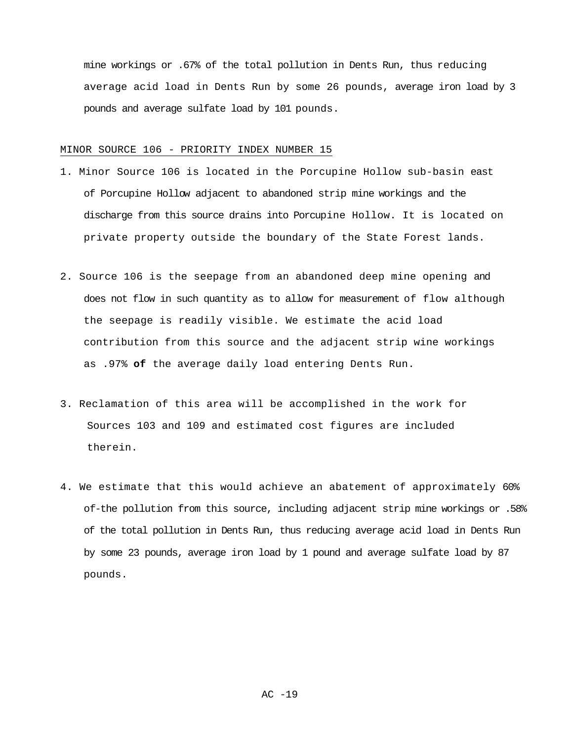mine workings or .67% of the total pollution in Dents Run, thus reducing average acid load in Dents Run by some 26 pounds, average iron load by 3 pounds and average sulfate load by 101 pounds.

### MINOR SOURCE 106 - PRIORITY INDEX NUMBER 15

- 1. Minor Source 106 is located in the Porcupine Hollow sub-basin east of Porcupine Hollow adjacent to abandoned strip mine workings and the discharge from this source drains into Porcupine Hollow. It is located on private property outside the boundary of the State Forest lands.
- 2. Source 106 is the seepage from an abandoned deep mine opening and does not flow in such quantity as to allow for measurement of flow although the seepage is readily visible. We estimate the acid load contribution from this source and the adjacent strip wine workings as .97% **of** the average daily load entering Dents Run.
- 3. Reclamation of this area will be accomplished in the work for Sources 103 and 109 and estimated cost figures are included therein.
- 4. We estimate that this would achieve an abatement of approximately 60% of-the pollution from this source, including adjacent strip mine workings or .58% of the total pollution in Dents Run, thus reducing average acid load in Dents Run by some 23 pounds, average iron load by 1 pound and average sulfate load by 87 pounds.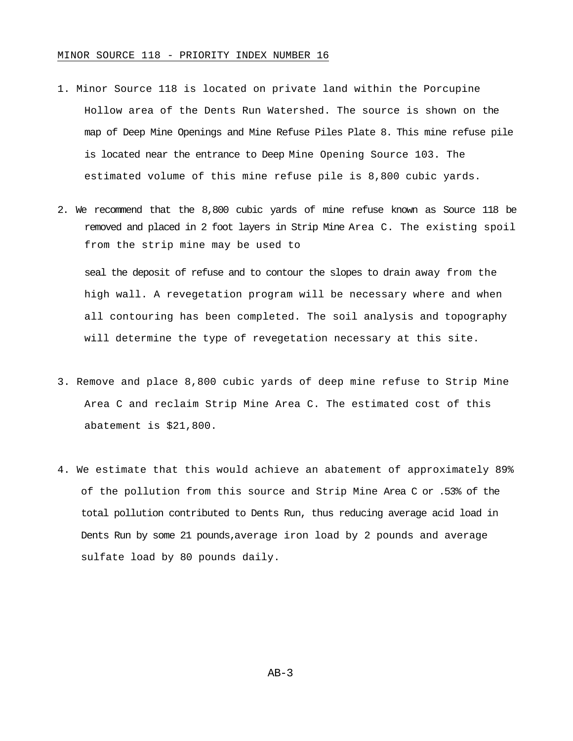- 1. Minor Source 118 is located on private land within the Porcupine Hollow area of the Dents Run Watershed. The source is shown on the map of Deep Mine Openings and Mine Refuse Piles Plate 8. This mine refuse pile is located near the entrance to Deep Mine Opening Source 103. The estimated volume of this mine refuse pile is 8,800 cubic yards.
- 2. We recommend that the 8,800 cubic yards of mine refuse known as Source 118 be removed and placed in 2 foot layers in Strip Mine Area C. The existing spoil from the strip mine may be used to

seal the deposit of refuse and to contour the slopes to drain away from the high wall. A revegetation program will be necessary where and when all contouring has been completed. The soil analysis and topography will determine the type of revegetation necessary at this site.

- 3. Remove and place 8,800 cubic yards of deep mine refuse to Strip Mine Area C and reclaim Strip Mine Area C. The estimated cost of this abatement is \$21,800.
- 4. We estimate that this would achieve an abatement of approximately 89% of the pollution from this source and Strip Mine Area C or .53% of the total pollution contributed to Dents Run, thus reducing average acid load in Dents Run by some 21 pounds,average iron load by 2 pounds and average sulfate load by 80 pounds daily.

 $AB-3$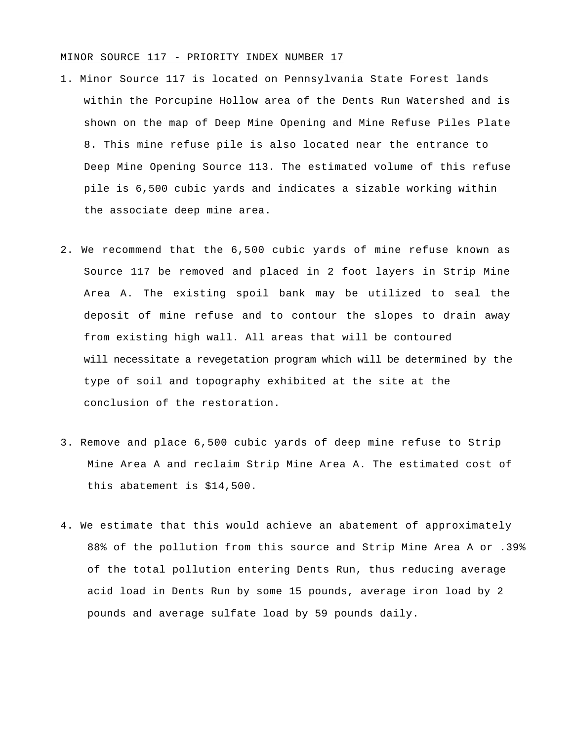## MINOR SOURCE 117 - PRIORITY INDEX NUMBER 17

- 1. Minor Source 117 is located on Pennsylvania State Forest lands within the Porcupine Hollow area of the Dents Run Watershed and is shown on the map of Deep Mine Opening and Mine Refuse Piles Plate 8. This mine refuse pile is also located near the entrance to Deep Mine Opening Source 113. The estimated volume of this refuse pile is 6,500 cubic yards and indicates a sizable working within the associate deep mine area.
- 2. We recommend that the 6,500 cubic yards of mine refuse known as Source 117 be removed and placed in 2 foot layers in Strip Mine Area A. The existing spoil bank may be utilized to seal the deposit of mine refuse and to contour the slopes to drain away from existing high wall. All areas that will be contoured will necessitate a revegetation program which will be determined by the type of soil and topography exhibited at the site at the conclusion of the restoration.
- 3. Remove and place 6,500 cubic yards of deep mine refuse to Strip Mine Area A and reclaim Strip Mine Area A. The estimated cost of this abatement is \$14,500.
- 4. We estimate that this would achieve an abatement of approximately 88% of the pollution from this source and Strip Mine Area A or .39% of the total pollution entering Dents Run, thus reducing average acid load in Dents Run by some 15 pounds, average iron load by 2 pounds and average sulfate load by 59 pounds daily.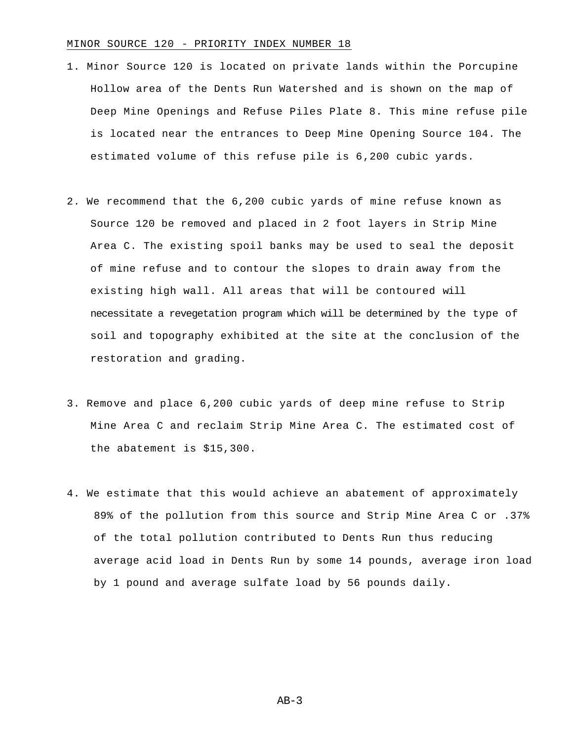### MINOR SOURCE 120 - PRIORITY INDEX NUMBER 18

- 1. Minor Source 120 is located on private lands within the Porcupine Hollow area of the Dents Run Watershed and is shown on the map of Deep Mine Openings and Refuse Piles Plate 8. This mine refuse pile is located near the entrances to Deep Mine Opening Source 104. The estimated volume of this refuse pile is 6,200 cubic yards.
- 2. We recommend that the 6,200 cubic yards of mine refuse known as Source 120 be removed and placed in 2 foot layers in Strip Mine Area C. The existing spoil banks may be used to seal the deposit of mine refuse and to contour the slopes to drain away from the existing high wall. All areas that will be contoured will necessitate a revegetation program which will be determined by the type of soil and topography exhibited at the site at the conclusion of the restoration and grading.
- 3. Remove and place 6,200 cubic yards of deep mine refuse to Strip Mine Area C and reclaim Strip Mine Area C. The estimated cost of the abatement is \$15,300.
- 4. We estimate that this would achieve an abatement of approximately 89% of the pollution from this source and Strip Mine Area C or .37% of the total pollution contributed to Dents Run thus reducing average acid load in Dents Run by some 14 pounds, average iron load by 1 pound and average sulfate load by 56 pounds daily.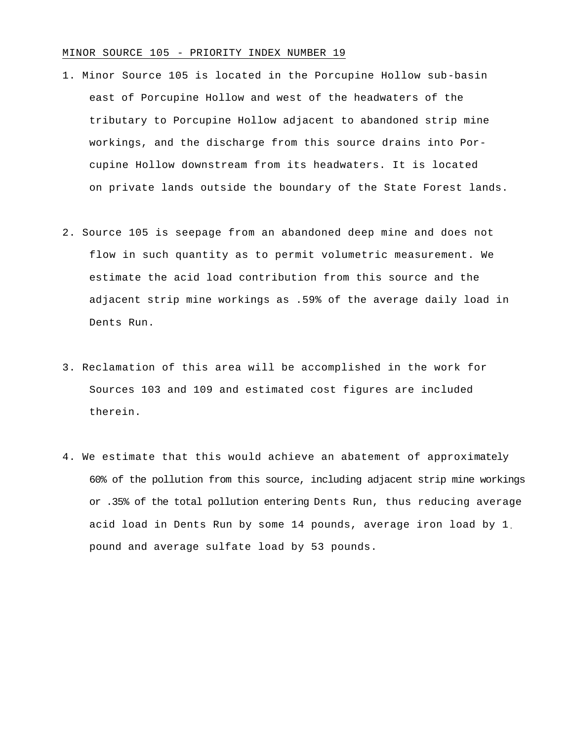### MINOR SOURCE 105 - PRIORITY INDEX NUMBER 19

- 1. Minor Source 105 is located in the Porcupine Hollow sub-basin east of Porcupine Hollow and west of the headwaters of the tributary to Porcupine Hollow adjacent to abandoned strip mine workings, and the discharge from this source drains into Porcupine Hollow downstream from its headwaters. It is located on private lands outside the boundary of the State Forest lands.
- 2. Source 105 is seepage from an abandoned deep mine and does not flow in such quantity as to permit volumetric measurement. We estimate the acid load contribution from this source and the adjacent strip mine workings as .59% of the average daily load in Dents Run.
- 3. Reclamation of this area will be accomplished in the work for Sources 103 and 109 and estimated cost figures are included therein.
- 4. We estimate that this would achieve an abatement of approximately 60% of the pollution from this source, including adjacent strip mine workings or .35% of the total pollution entering Dents Run, thus reducing average acid load in Dents Run by some 14 pounds, average iron load by 1. pound and average sulfate load by 53 pounds.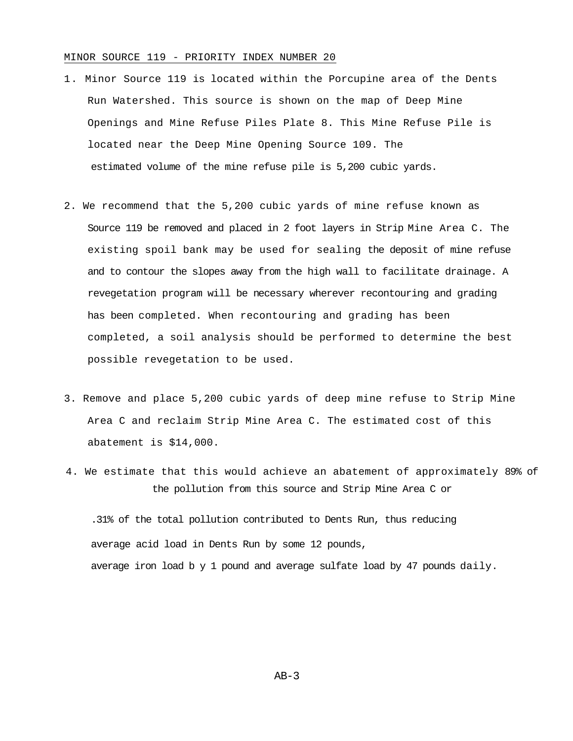### MINOR SOURCE 119 - PRIORITY INDEX NUMBER 20

- 1. Minor Source 119 is located within the Porcupine area of the Dents Run Watershed. This source is shown on the map of Deep Mine Openings and Mine Refuse Piles Plate 8. This Mine Refuse Pile is located near the Deep Mine Opening Source 109. The estimated volume of the mine refuse pile is 5,200 cubic yards.
- 2. We recommend that the 5,200 cubic yards of mine refuse known as Source 119 be removed and placed in 2 foot layers in Strip Mine Area C. The existing spoil bank may be used for sealing the deposit of mine refuse and to contour the slopes away from the high wall to facilitate drainage. A revegetation program will be necessary wherever recontouring and grading has been completed. When recontouring and grading has been completed, a soil analysis should be performed to determine the best possible revegetation to be used.
- 3. Remove and place 5,200 cubic yards of deep mine refuse to Strip Mine Area C and reclaim Strip Mine Area C. The estimated cost of this abatement is \$14,000.
- 4. We estimate that this would achieve an abatement of approximately 89% of the pollution from this source and Strip Mine Area C or

.31% of the total pollution contributed to Dents Run, thus reducing average acid load in Dents Run by some 12 pounds, average iron load b y 1 pound and average sulfate load by 47 pounds daily.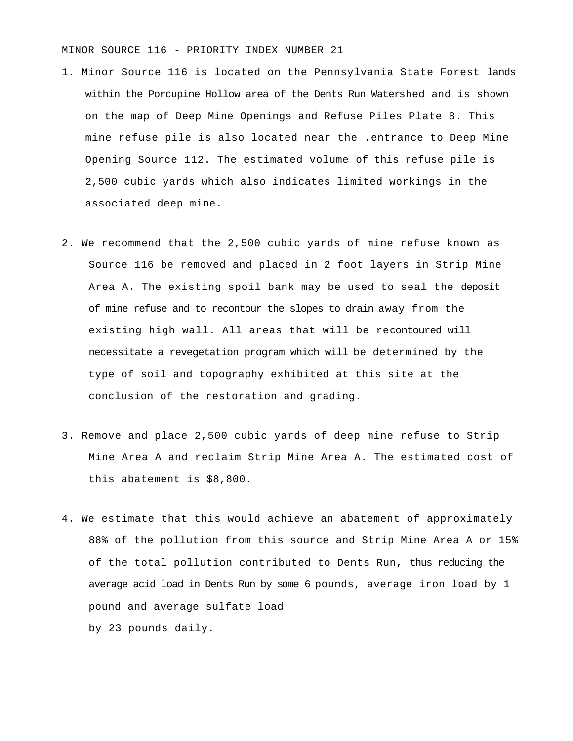### MINOR SOURCE 116 - PRIORITY INDEX NUMBER 21

- 1. Minor Source 116 is located on the Pennsylvania State Forest lands within the Porcupine Hollow area of the Dents Run Watershed and is shown on the map of Deep Mine Openings and Refuse Piles Plate 8. This mine refuse pile is also located near the .entrance to Deep Mine Opening Source 112. The estimated volume of this refuse pile is 2,500 cubic yards which also indicates limited workings in the associated deep mine.
- 2. We recommend that the 2,500 cubic yards of mine refuse known as Source 116 be removed and placed in 2 foot layers in Strip Mine Area A. The existing spoil bank may be used to seal the deposit of mine refuse and to recontour the slopes to drain away from the existing high wall. All areas that will be recontoured will necessitate a revegetation program which will be determined by the type of soil and topography exhibited at this site at the conclusion of the restoration and grading.
- 3. Remove and place 2,500 cubic yards of deep mine refuse to Strip Mine Area A and reclaim Strip Mine Area A. The estimated cost of this abatement is \$8,800.
- 4. We estimate that this would achieve an abatement of approximately 88% of the pollution from this source and Strip Mine Area A or 15% of the total pollution contributed to Dents Run, thus reducing the average acid load in Dents Run by some 6 pounds, average iron load by 1 pound and average sulfate load by 23 pounds daily.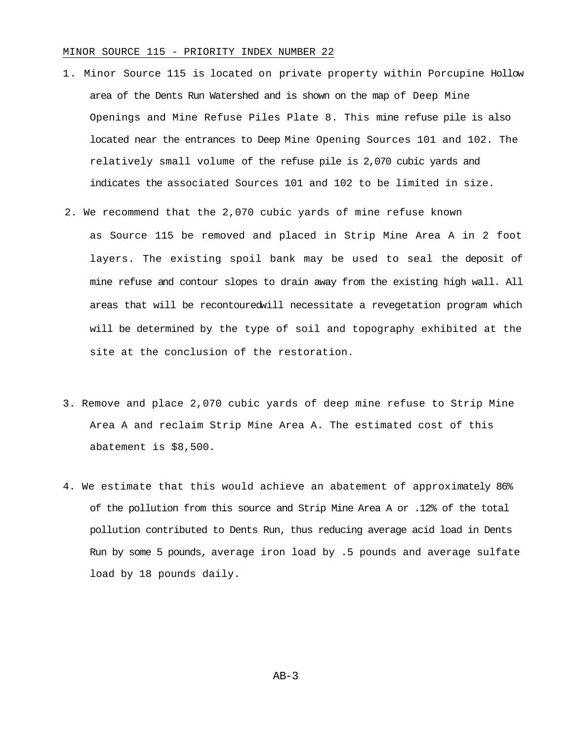### MINOR SOURCE 115 - PRIORITY INDEX NUMBER 22

- 1. Minor Source 115 is located on private property within Porcupine Hollow area of the Dents Run Watershed and is shown on the map of Deep Mine Openings and Mine Refuse Piles Plate 8. This mine refuse pile is also located near the entrances to Deep Mine Opening Sources 101 and 102. The relatively small volume of the refuse pile is 2,070 cubic yards and indicates the associated Sources 101 and 102 to be limited in size.
- 2. We recommend that the 2,070 cubic yards of mine refuse known as Source 115 be removed and placed in Strip Mine Area A in 2 foot layers. The existing spoil bank may be used to seal the deposit of mine refuse and contour slopes to drain away from the existing high wall. All areas that will be recontouredwill necessitate a revegetation program which will be determined by the type of soil and topography exhibited at the site at the conclusion of the restoration.
- 3. Remove and place 2,070 cubic yards of deep mine refuse to Strip Mine Area A and reclaim Strip Mine Area A. The estimated cost of this abatement is \$8,500.
- 4. We estimate that this would achieve an abatement of approximately 86% of the pollution from this source and Strip Mine Area A or .12% of the total pollution contributed to Dents Run, thus reducing average acid load in Dents Run by some 5 pounds, average iron load by .5 pounds and average sulfate load by 18 pounds daily.

 $AB-3$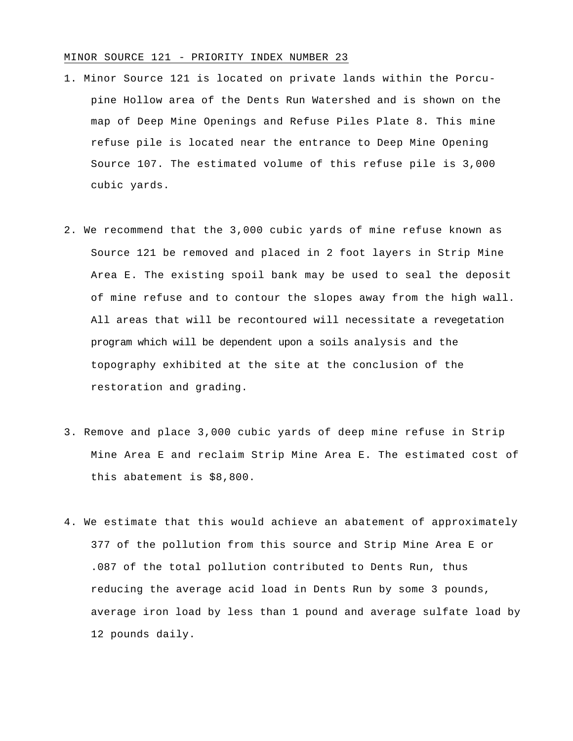### MINOR SOURCE 121 - PRIORITY INDEX NUMBER 23

- 1. Minor Source 121 is located on private lands within the Porcupine Hollow area of the Dents Run Watershed and is shown on the map of Deep Mine Openings and Refuse Piles Plate 8. This mine refuse pile is located near the entrance to Deep Mine Opening Source 107. The estimated volume of this refuse pile is 3,000 cubic yards.
- 2. We recommend that the 3,000 cubic yards of mine refuse known as Source 121 be removed and placed in 2 foot layers in Strip Mine Area E. The existing spoil bank may be used to seal the deposit of mine refuse and to contour the slopes away from the high wall. All areas that will be recontoured will necessitate a revegetation program which will be dependent upon a soils analysis and the topography exhibited at the site at the conclusion of the restoration and grading.
- 3. Remove and place 3,000 cubic yards of deep mine refuse in Strip Mine Area E and reclaim Strip Mine Area E. The estimated cost of this abatement is \$8,800.
- 4. We estimate that this would achieve an abatement of approximately 377 of the pollution from this source and Strip Mine Area E or .087 of the total pollution contributed to Dents Run, thus reducing the average acid load in Dents Run by some 3 pounds, average iron load by less than 1 pound and average sulfate load by 12 pounds daily.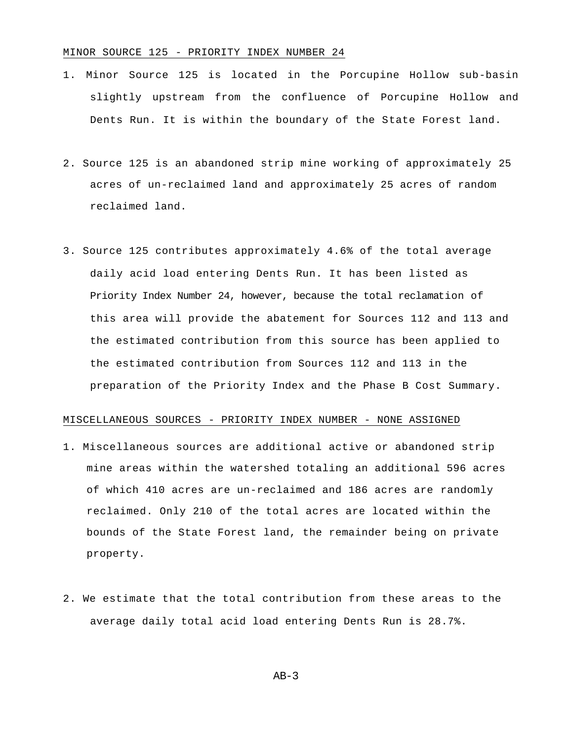### MINOR SOURCE 125 - PRIORITY INDEX NUMBER 24

- 1. Minor Source 125 is located in the Porcupine Hollow sub-basin slightly upstream from the confluence of Porcupine Hollow and Dents Run. It is within the boundary of the State Forest land.
- 2. Source 125 is an abandoned strip mine working of approximately 25 acres of un-reclaimed land and approximately 25 acres of random reclaimed land.
- 3. Source 125 contributes approximately 4.6% of the total average daily acid load entering Dents Run. It has been listed as Priority Index Number 24, however, because the total reclamation of this area will provide the abatement for Sources 112 and 113 and the estimated contribution from this source has been applied to the estimated contribution from Sources 112 and 113 in the preparation of the Priority Index and the Phase B Cost Summary.

### MISCELLANEOUS SOURCES - PRIORITY INDEX NUMBER - NONE ASSIGNED

- 1. Miscellaneous sources are additional active or abandoned strip mine areas within the watershed totaling an additional 596 acres of which 410 acres are un-reclaimed and 186 acres are randomly reclaimed. Only 210 of the total acres are located within the bounds of the State Forest land, the remainder being on private property.
- 2. We estimate that the total contribution from these areas to the average daily total acid load entering Dents Run is 28.7%.

 $AB-3$